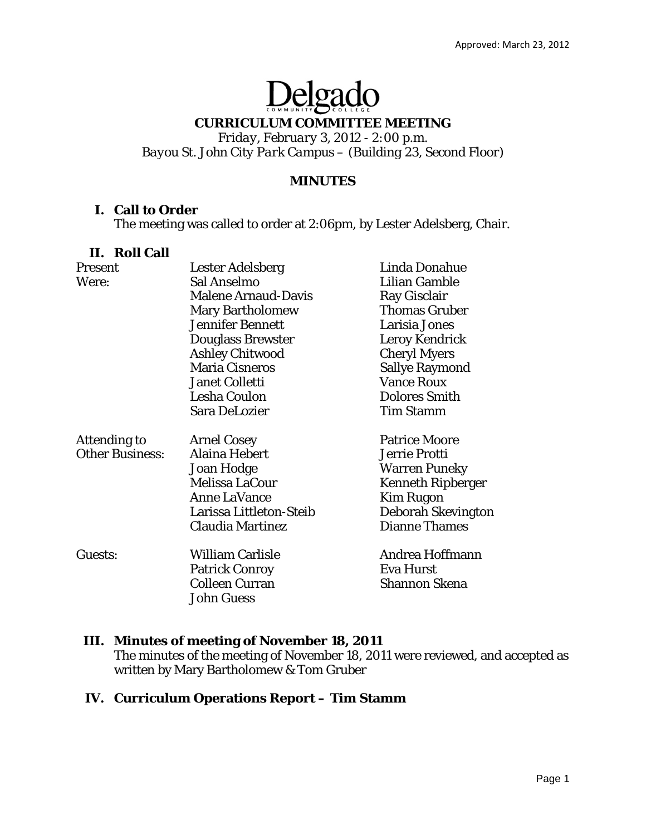# Delgado

## **CURRICULUM COMMITTEE MEETING**

*Friday, February 3, 2012 - 2:00 p.m. Bayou St. John City Park Campus – (Building 23, Second Floor)* 

#### **MINUTES**

#### **I. Call to Order**

The meeting was called to order at 2:06pm, by Lester Adelsberg, Chair.

#### **II. Roll Call**

| Present                | Lester Adelsberg           | <b>Linda Donahue</b>     |
|------------------------|----------------------------|--------------------------|
| Were:                  | Sal Anselmo                | <b>Lilian Gamble</b>     |
|                        | <b>Malene Arnaud-Davis</b> | Ray Gisclair             |
|                        | <b>Mary Bartholomew</b>    | <b>Thomas Gruber</b>     |
|                        | <b>Jennifer Bennett</b>    | Larisia Jones            |
|                        | <b>Douglass Brewster</b>   | Leroy Kendrick           |
|                        | <b>Ashley Chitwood</b>     | <b>Cheryl Myers</b>      |
|                        | <b>Maria Cisneros</b>      | <b>Sallye Raymond</b>    |
|                        | <b>Janet Colletti</b>      | <b>Vance Roux</b>        |
|                        | Lesha Coulon               | <b>Dolores Smith</b>     |
|                        | Sara DeLozier              | <b>Tim Stamm</b>         |
| Attending to           | <b>Arnel Cosey</b>         | <b>Patrice Moore</b>     |
| <b>Other Business:</b> | Alaina Hebert              | <b>Jerrie Protti</b>     |
|                        | Joan Hodge                 | <b>Warren Puneky</b>     |
|                        | Melissa LaCour             | <b>Kenneth Ripberger</b> |
|                        | <b>Anne LaVance</b>        | <b>Kim Rugon</b>         |
|                        | Larissa Littleton-Steib    | Deborah Skevington       |
|                        | <b>Claudia Martinez</b>    | <b>Dianne Thames</b>     |
| Guests:                | <b>William Carlisle</b>    | Andrea Hoffmann          |
|                        | <b>Patrick Conroy</b>      | Eva Hurst                |
|                        | <b>Colleen Curran</b>      | Shannon Skena            |
|                        | <b>John Guess</b>          |                          |
|                        |                            |                          |

## **III. Minutes of meeting of November 18, 2011**

The minutes of the meeting of November 18, 2011 were reviewed, and accepted as written by Mary Bartholomew & Tom Gruber

# **IV. Curriculum Operations Report – Tim Stamm**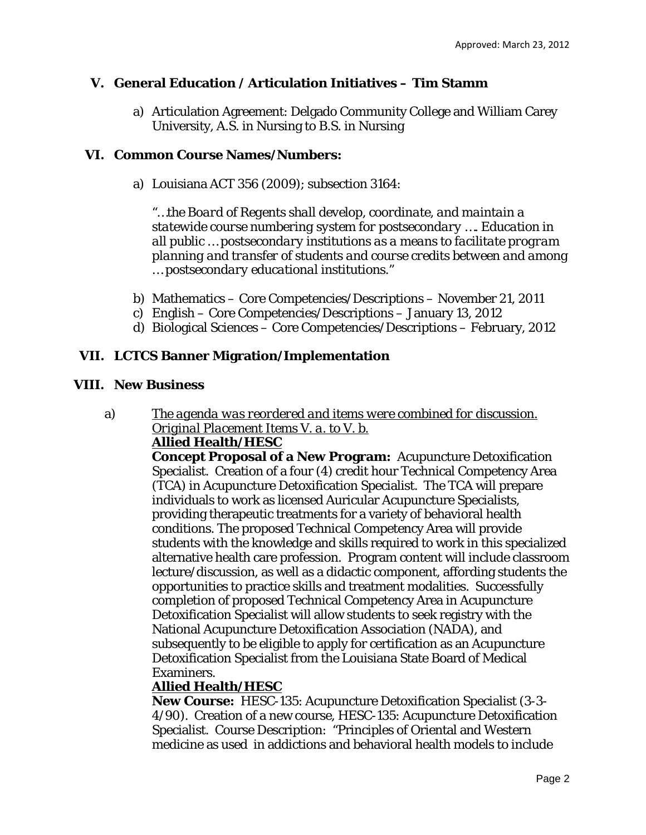# **V. General Education / Articulation Initiatives – Tim Stamm**

a) Articulation Agreement: Delgado Community College and William Carey University, A.S. in Nursing to B.S. in Nursing

# **VI. Common Course Names/Numbers:**

a) Louisiana ACT 356 (2009); subsection 3164:

*"…the Board of Regents shall develop, coordinate, and maintain a statewide course numbering system for postsecondary …. Education in all public … postsecondary institutions as a means to facilitate program planning and transfer of students and course credits between and among … postsecondary educational institutions."* 

- b) Mathematics Core Competencies/Descriptions November 21, 2011
- c) English Core Competencies/Descriptions January 13, 2012
- d) Biological Sciences Core Competencies/Descriptions February, 2012

# **VII. LCTCS Banner Migration/Implementation**

## **VIII. New Business**

#### a) *The agenda was reordered and items were combined for discussion. Original Placement Items V. a. to V. b.*  **Allied Health/HESC**

**Concept Proposal of a New Program:** Acupuncture Detoxification Specialist. Creation of a four (4) credit hour Technical Competency Area (TCA) in Acupuncture Detoxification Specialist. The TCA will prepare individuals to work as licensed Auricular Acupuncture Specialists, providing therapeutic treatments for a variety of behavioral health conditions. The proposed Technical Competency Area will provide students with the knowledge and skills required to work in this specialized alternative health care profession. Program content will include classroom lecture/discussion, as well as a didactic component, affording students the opportunities to practice skills and treatment modalities. Successfully completion of proposed Technical Competency Area in Acupuncture Detoxification Specialist will allow students to seek registry with the National Acupuncture Detoxification Association (NADA), and subsequently to be eligible to apply for certification as an Acupuncture Detoxification Specialist from the Louisiana State Board of Medical Examiners.

# **Allied Health/HESC**

**New Course:** HESC-135: Acupuncture Detoxification Specialist (3-3- 4/90). Creation of a new course, HESC-135: Acupuncture Detoxification Specialist. Course Description: "Principles of Oriental and Western medicine as used in addictions and behavioral health models to include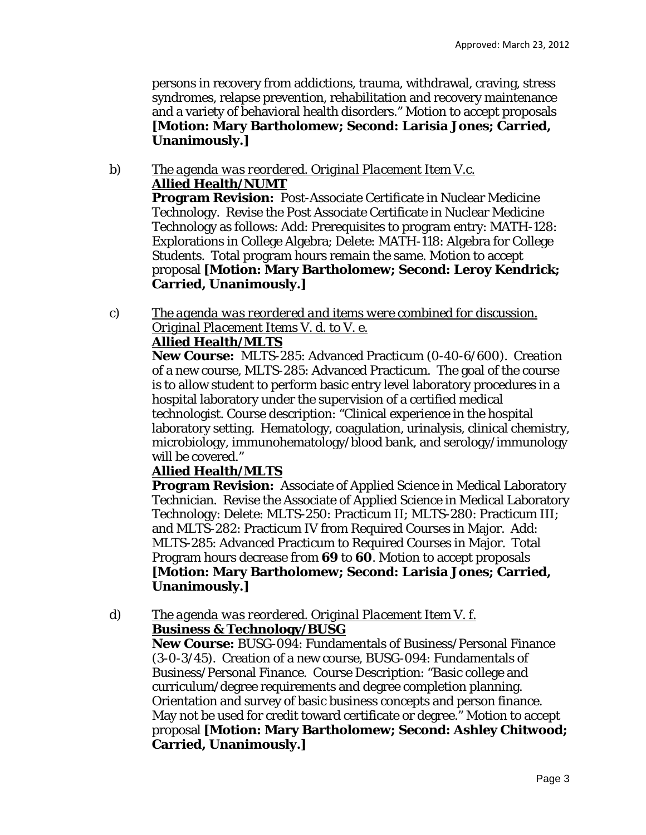persons in recovery from addictions, trauma, withdrawal, craving, stress syndromes, relapse prevention, rehabilitation and recovery maintenance and a variety of behavioral health disorders." Motion to accept proposals **[Motion: Mary Bartholomew; Second: Larisia Jones; Carried, Unanimously.]**

#### b) *The agenda was reordered. Original Placement Item V.c.*  **Allied Health/NUMT Program Revision:** Post-Associate Certificate in Nuclear Medicine Technology. Revise the Post Associate Certificate in Nuclear Medicine Technology as follows: Add: Prerequisites to program entry: MATH-128: Explorations in College Algebra; Delete: MATH-118: Algebra for College Students. Total program hours remain the same. Motion to accept proposal **[Motion: Mary Bartholomew; Second: Leroy Kendrick; Carried, Unanimously.]**

c) *The agenda was reordered and items were combined for discussion. Original Placement Items V. d. to V. e.* 

# **Allied Health/MLTS**

**New Course:** MLTS-285: Advanced Practicum (0-40-6/600). Creation of a new course, MLTS-285: Advanced Practicum. The goal of the course is to allow student to perform basic entry level laboratory procedures in a hospital laboratory under the supervision of a certified medical technologist. Course description: "Clinical experience in the hospital laboratory setting. Hematology, coagulation, urinalysis, clinical chemistry, microbiology, immunohematology/blood bank, and serology/immunology will be covered."

# **Allied Health/MLTS**

**Program Revision:** Associate of Applied Science in Medical Laboratory Technician. Revise the Associate of Applied Science in Medical Laboratory Technology: Delete: MLTS-250: Practicum II; MLTS-280: Practicum III; and MLTS-282: Practicum IV from Required Courses in Major. Add: MLTS-285: Advanced Practicum to Required Courses in Major. Total Program hours decrease *from* **69** *to* **60**. Motion to accept proposals **[Motion: Mary Bartholomew; Second: Larisia Jones; Carried, Unanimously.]**

d) *The agenda was reordered. Original Placement Item V. f.* 

# **Business & Technology/BUSG**

**New Course:** BUSG-094: Fundamentals of Business/Personal Finance (3-0-3/45). Creation of a new course, BUSG-094: Fundamentals of Business/Personal Finance. Course Description: "Basic college and curriculum/degree requirements and degree completion planning. Orientation and survey of basic business concepts and person finance. May not be used for credit toward certificate or degree." Motion to accept proposal **[Motion: Mary Bartholomew; Second: Ashley Chitwood; Carried, Unanimously.]**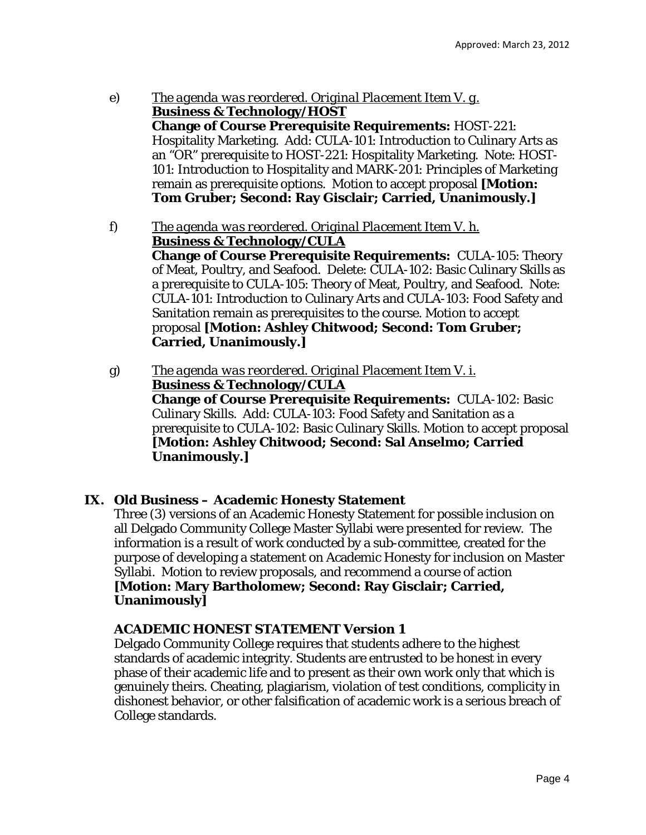- e) *The agenda was reordered. Original Placement Item V. g.*  **Business & Technology/HOST Change of Course Prerequisite Requirements:** HOST-221: Hospitality Marketing. Add: CULA-101: Introduction to Culinary Arts as an "OR" prerequisite to HOST-221: Hospitality Marketing. Note: HOST-101: Introduction to Hospitality and MARK-201: Principles of Marketing remain as prerequisite options. Motion to accept proposal **[Motion: Tom Gruber; Second: Ray Gisclair; Carried, Unanimously.]**
- f) *The agenda was reordered. Original Placement Item V. h.*  **Business & Technology/CULA Change of Course Prerequisite Requirements:** CULA-105: Theory of Meat, Poultry, and Seafood. Delete: CULA-102: Basic Culinary Skills as a prerequisite to CULA-105: Theory of Meat, Poultry, and Seafood. Note: CULA-101: Introduction to Culinary Arts and CULA-103: Food Safety and Sanitation remain as prerequisites to the course. Motion to accept proposal **[Motion: Ashley Chitwood; Second: Tom Gruber; Carried, Unanimously.]**
- g) *The agenda was reordered. Original Placement Item V. i.*  **Business & Technology/CULA Change of Course Prerequisite Requirements:** CULA-102: Basic Culinary Skills. Add: CULA-103: Food Safety and Sanitation as a prerequisite to CULA-102: Basic Culinary Skills. Motion to accept proposal **[Motion: Ashley Chitwood; Second: Sal Anselmo; Carried Unanimously.]**

# **IX. Old Business – Academic Honesty Statement**

Three (3) versions of an Academic Honesty Statement for possible inclusion on all Delgado Community College Master Syllabi were presented for review. The information is a result of work conducted by a sub-committee, created for the purpose of developing a statement on Academic Honesty for inclusion on Master Syllabi. Motion to review proposals, and recommend a course of action **[Motion: Mary Bartholomew; Second: Ray Gisclair; Carried, Unanimously]** 

## **ACADEMIC HONEST STATEMENT** *Version 1*

Delgado Community College requires that students adhere to the highest standards of academic integrity. Students are entrusted to be honest in every phase of their academic life and to present as their own work only that which is genuinely theirs. Cheating, plagiarism, violation of test conditions, complicity in dishonest behavior, or other falsification of academic work is a serious breach of College standards.